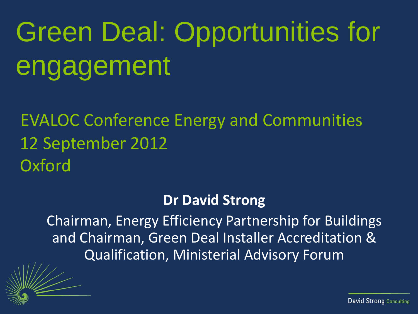# Green Deal: Opportunities for engagement

EVALOC Conference Energy and Communities 12 September 2012 **Oxford** 

#### **Dr David Strong**

Chairman, Energy Efficiency Partnership for Buildings and Chairman, Green Deal Installer Accreditation & Qualification, Ministerial Advisory Forum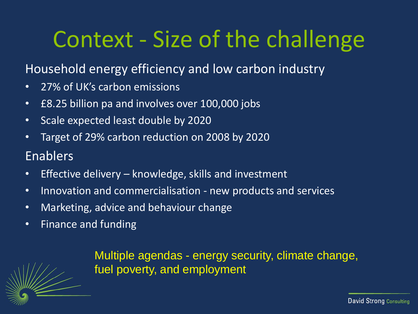### Context - Size of the challenge

#### Household energy efficiency and low carbon industry

- 27% of UK's carbon emissions
- £8.25 billion pa and involves over 100,000 jobs
- Scale expected least double by 2020
- Target of 29% carbon reduction on 2008 by 2020

#### Enablers

- Effective delivery knowledge, skills and investment
- Innovation and commercialisation new products and services
- Marketing, advice and behaviour change
- Finance and funding

Multiple agendas - energy security, climate change, fuel poverty, and employment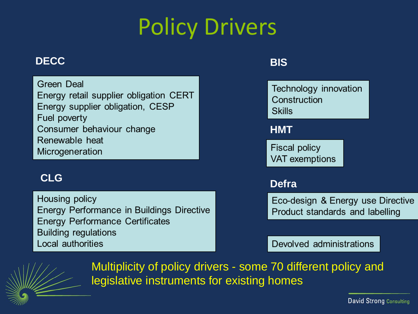# Policy Drivers

#### **DECC**

**Green Deal** Energy retail supplier obligation CERT Energy supplier obligation, CESP Fuel poverty Consumer behaviour change Renewable heat Microgeneration

#### **CLG**

Housing policy Energy Performance in Buildings Directive **Energy Performance Certificates Building regulations** Local authorities

#### **BIS**



Eco-design & Energy use Directive Product standards and labelling

Devolved administrations



Multiplicity of policy drivers - some 70 different policy and legislative instruments for existing homes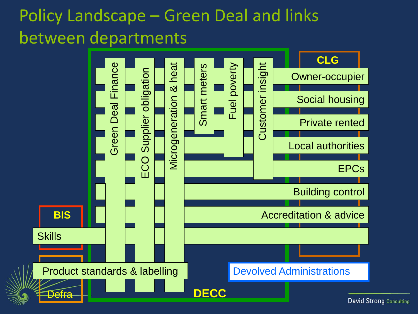#### Policy Landscape – Green Deal and links between departments

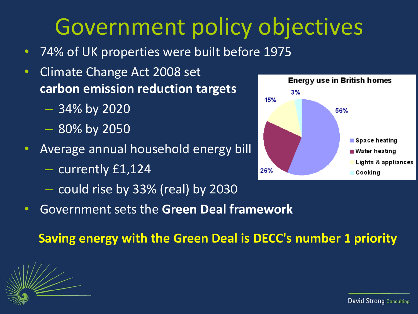### Government policy objectives

- 74% of UK properties were built before 1975
- Climate Change Act 2008 set **carbon emission reduction targets**
	- 34% by 2020
	- 80% by 2050
- Average annual household energy bill
	- currently £1,124
	- could rise by 33% (real) by 2030
- Government sets the **Green Deal framework**



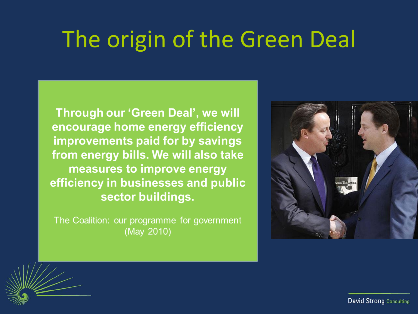#### The origin of the Green Deal

Through our 'Green Deal', we will encourage home energy efficiency improvements paid for by savings from energy bills. We will also take measures to improve energy efficiency in businesses and public sector buildings.

The Coalition: our programme for government (May 2010)



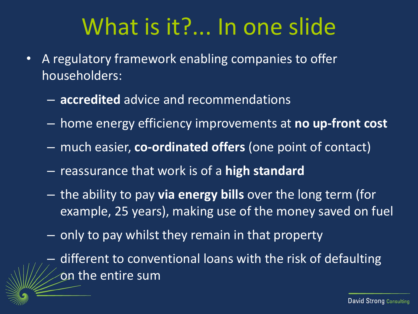#### What is it?... In one slide

- A regulatory framework enabling companies to offer householders:
	- **accredited** advice and recommendations
	- home energy efficiency improvements at **no up-front cost**
	- much easier, **co-ordinated offers** (one point of contact)
	- reassurance that work is of a **high standard**
	- the ability to pay **via energy bills** over the long term (for example, 25 years), making use of the money saved on fuel
	- only to pay whilst they remain in that property

– different to conventional loans with the risk of defaulting on the entire sum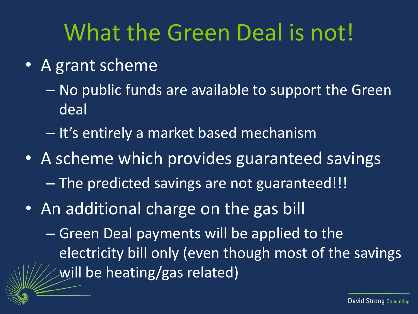#### What the Green Deal is not!

- A grant scheme
	- No public funds are available to support the Green deal
	- It's entirely a market based mechanism
- A scheme which provides guaranteed savings – The predicted savings are not guaranteed!!!
- An additional charge on the gas bill
	- Green Deal payments will be applied to the electricity bill only (even though most of the savings will be heating/gas related)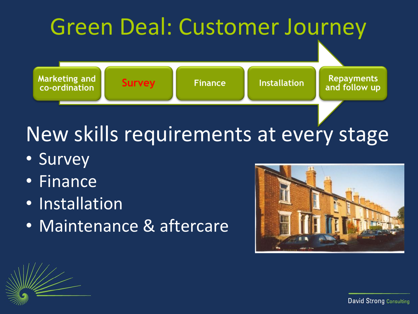

#### New skills requirements at every stage

- Survey
- Finance
- Installation
- Maintenance & aftercare

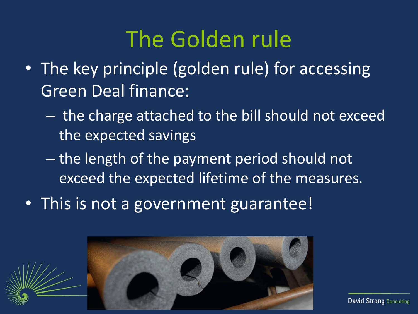#### The Golden rule

- The key principle (golden rule) for accessing Green Deal finance:
	- the charge attached to the bill should not exceed the expected savings
	- the length of the payment period should not exceed the expected lifetime of the measures.
- This is not a government guarantee!

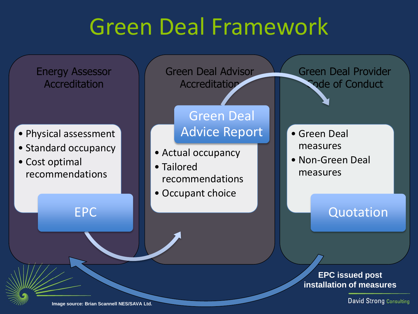### Green Deal Framework

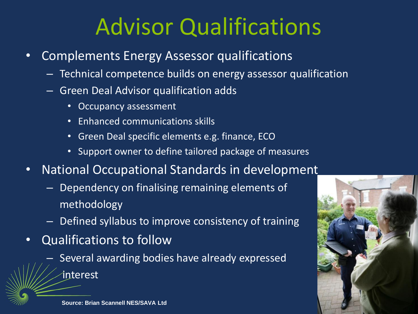## Advisor Qualifications

- Complements Energy Assessor qualifications
	- Technical competence builds on energy assessor qualification
	- Green Deal Advisor qualification adds
		- Occupancy assessment
		- Enhanced communications skills
		- Green Deal specific elements e.g. finance, ECO
		- Support owner to define tailored package of measures
- National Occupational Standards in development
	- Dependency on finalising remaining elements of methodology
	- Defined syllabus to improve consistency of training
- Qualifications to follow
	- Several awarding bodies have already expressed
		- interest

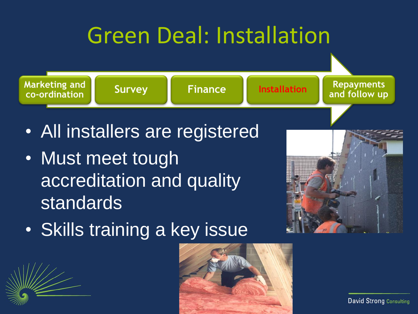## Green Deal: Installation



- All installers are registered
- Must meet tough accreditation and quality standards



• Skills training a key issue

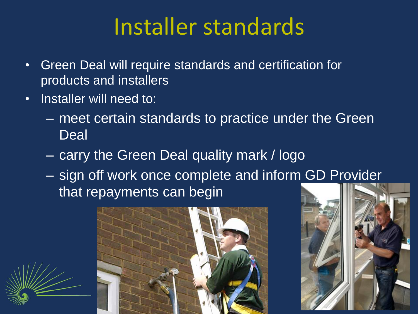### Installer standards

- Green Deal will require standards and certification for products and installers
- Installer will need to:
	- meet certain standards to practice under the Green **Deal**
	- carry the Green Deal quality mark / logo
	- sign off work once complete and inform GD Provider that repayments can begin



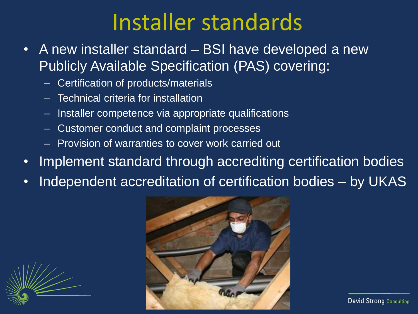#### Installer standards

- A new installer standard BSI have developed a new Publicly Available Specification (PAS) covering:
	- Certification of products/materials
	- Technical criteria for installation
	- Installer competence via appropriate qualifications
	- Customer conduct and complaint processes
	- Provision of warranties to cover work carried out
- Implement standard through accrediting certification bodies
- Independent accreditation of certification bodies by UKAS

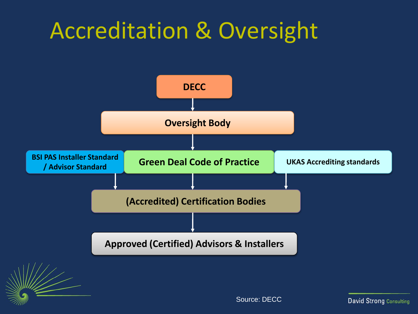### Accreditation & Oversight

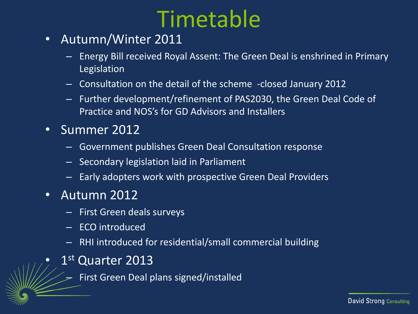### Timetable

- Autumn/Winter 2011
	- Energy Bill received Royal Assent: The Green Deal is enshrined in Primary Legislation
	- Consultation on the detail of the scheme -closed January 2012
	- Further development/refinement of PAS2030, the Green Deal Code of Practice and NOS's for GD Advisors and Installers
- Summer 2012
	- Government publishes Green Deal Consultation response
	- Secondary legislation laid in Parliament
	- Early adopters work with prospective Green Deal Providers
- Autumn 2012
	- First Green deals surveys
	- ECO introduced
	- RHI introduced for residential/small commercial building
- $\bullet$  1<sup>st</sup> Quarter 2013
	- First Green Deal plans signed/installed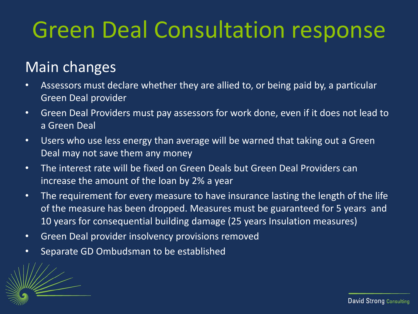## Green Deal Consultation response

#### Main changes

- Assessors must declare whether they are allied to, or being paid by, a particular Green Deal provider
- Green Deal Providers must pay assessors for work done, even if it does not lead to a Green Deal
- Users who use less energy than average will be warned that taking out a Green Deal may not save them any money
- The interest rate will be fixed on Green Deals but Green Deal Providers can increase the amount of the loan by 2% a year
- The requirement for every measure to have insurance lasting the length of the life of the measure has been dropped. Measures must be guaranteed for 5 years and 10 years for consequential building damage (25 years Insulation measures)
- Green Deal provider insolvency provisions removed
- Separate GD Ombudsman to be established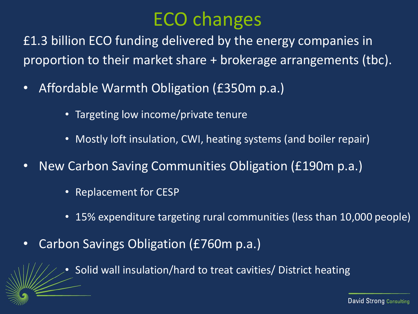#### ECO changes

£1.3 billion ECO funding delivered by the energy companies in proportion to their market share + brokerage arrangements (tbc).

- Affordable Warmth Obligation (£350m p.a.)
	- Targeting low income/private tenure
	- Mostly loft insulation, CWI, heating systems (and boiler repair)
- New Carbon Saving Communities Obligation (£190m p.a.)
	- Replacement for CESP
	- 15% expenditure targeting rural communities (less than 10,000 people)
- Carbon Savings Obligation (£760m p.a.)
	- Solid wall insulation/hard to treat cavities/ District heating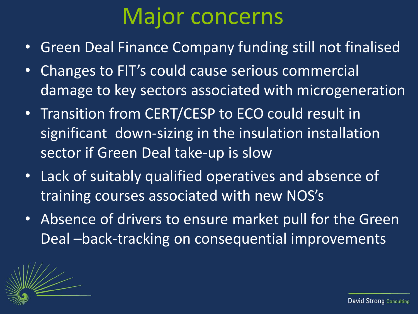#### Major concerns

- Green Deal Finance Company funding still not finalised
- Changes to FIT's could cause serious commercial damage to key sectors associated with microgeneration
- Transition from CERT/CESP to ECO could result in significant down-sizing in the insulation installation sector if Green Deal take-up is slow
- Lack of suitably qualified operatives and absence of training courses associated with new NOS's
- Absence of drivers to ensure market pull for the Green Deal –back-tracking on consequential improvements